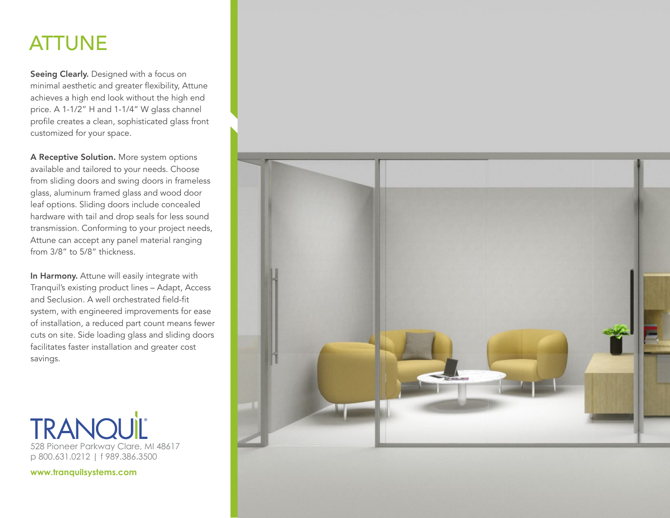# ATTUNE

Seeing Clearly. Designed with a focus on minimal aesthetic and greater flexibility, Attune achieves a high end look without the high end price. A 1-1/2" H and 1-1/4" W glass channel profile creates a clean, sophisticated glass front customized for your space.

A Receptive Solution. More system options available and tailored to your needs. Choose from sliding doors and swing doors in frameless glass, aluminum framed glass and wood door leaf options. Sliding doors include concealed hardware with tail and drop seals for less sound transmission. Conforming to your project needs, Attune can accept any panel material ranging from 3/8" to 5/8" thickness.

In Harmony. Attune will easily integrate with Tranquil's existing product lines – Adapt, Access and Seclusion. A well orchestrated field-fit system, with engineered improvements for ease of installation, a reduced part count means fewer cuts on site. Side loading glass and sliding doors facilitates faster installation and greater cost savings.



**www.tranquilsystems.com**

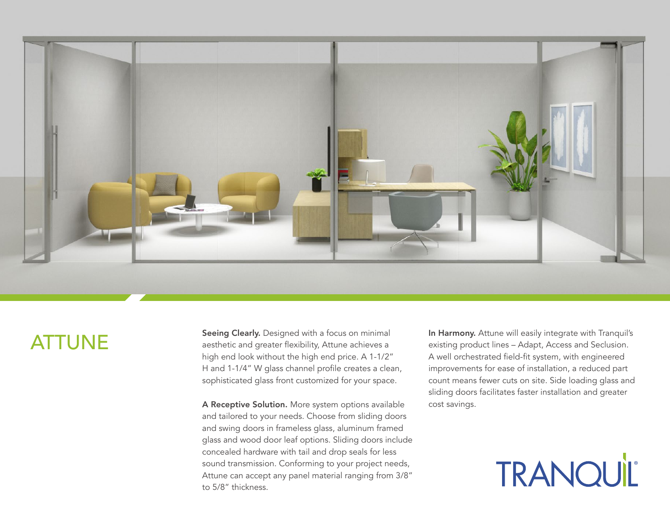

# ATTUNE

Seeing Clearly. Designed with a focus on minimal aesthetic and greater flexibility, Attune achieves a high end look without the high end price. A 1-1/2" H and 1-1/4" W glass channel profile creates a clean, sophisticated glass front customized for your space.

A Receptive Solution. More system options available and tailored to your needs. Choose from sliding doors and swing doors in frameless glass, aluminum framed glass and wood door leaf options. Sliding doors include concealed hardware with tail and drop seals for less sound transmission. Conforming to your project needs, Attune can accept any panel material ranging from 3/8" to 5/8" thickness.

In Harmony. Attune will easily integrate with Tranquil's existing product lines – Adapt, Access and Seclusion. A well orchestrated field-fit system, with engineered improvements for ease of installation, a reduced part count means fewer cuts on site. Side loading glass and sliding doors facilitates faster installation and greater cost savings.

TRANQUIL®